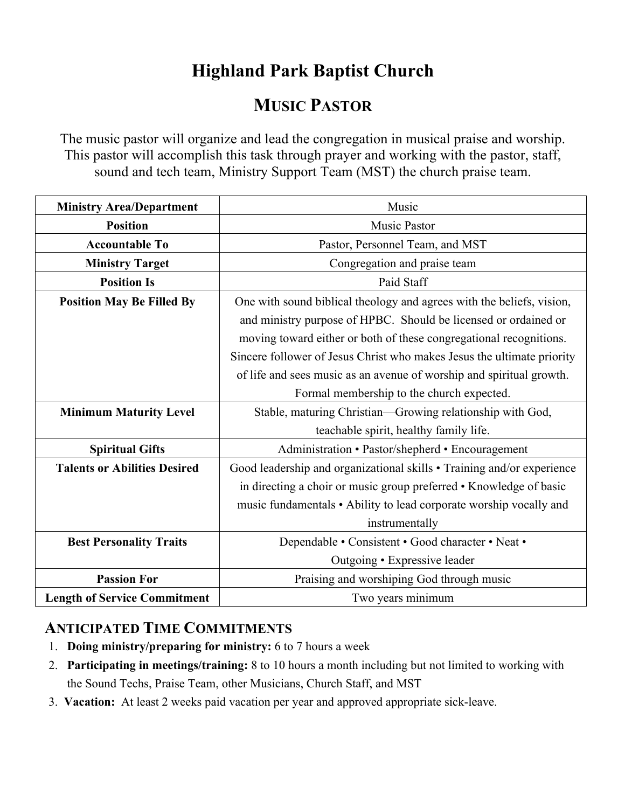## **Highland Park Baptist Church**

## **MUSIC PASTOR**

The music pastor will organize and lead the congregation in musical praise and worship. This pastor will accomplish this task through prayer and working with the pastor, staff, sound and tech team, Ministry Support Team (MST) the church praise team.

| <b>Ministry Area/Department</b>     | Music                                                                  |
|-------------------------------------|------------------------------------------------------------------------|
| <b>Position</b>                     | <b>Music Pastor</b>                                                    |
| <b>Accountable To</b>               | Pastor, Personnel Team, and MST                                        |
| <b>Ministry Target</b>              | Congregation and praise team                                           |
| <b>Position Is</b>                  | Paid Staff                                                             |
| <b>Position May Be Filled By</b>    | One with sound biblical theology and agrees with the beliefs, vision,  |
|                                     | and ministry purpose of HPBC. Should be licensed or ordained or        |
|                                     | moving toward either or both of these congregational recognitions.     |
|                                     | Sincere follower of Jesus Christ who makes Jesus the ultimate priority |
|                                     | of life and sees music as an avenue of worship and spiritual growth.   |
|                                     | Formal membership to the church expected.                              |
| <b>Minimum Maturity Level</b>       | Stable, maturing Christian—Growing relationship with God,              |
|                                     | teachable spirit, healthy family life.                                 |
| <b>Spiritual Gifts</b>              | Administration • Pastor/shepherd • Encouragement                       |
| <b>Talents or Abilities Desired</b> | Good leadership and organizational skills • Training and/or experience |
|                                     | in directing a choir or music group preferred • Knowledge of basic     |
|                                     | music fundamentals • Ability to lead corporate worship vocally and     |
|                                     | instrumentally                                                         |
| <b>Best Personality Traits</b>      | Dependable • Consistent • Good character • Neat •                      |
|                                     | Outgoing • Expressive leader                                           |
| <b>Passion For</b>                  | Praising and worshiping God through music                              |
| <b>Length of Service Commitment</b> | Two years minimum                                                      |

## **ANTICIPATED TIME COMMITMENTS**

- 1. **Doing ministry/preparing for ministry:** 6 to 7 hours a week
- 2. **Participating in meetings/training:** 8 to 10 hours a month including but not limited to working with the Sound Techs, Praise Team, other Musicians, Church Staff, and MST
- 3. **Vacation:** At least 2 weeks paid vacation per year and approved appropriate sick-leave.